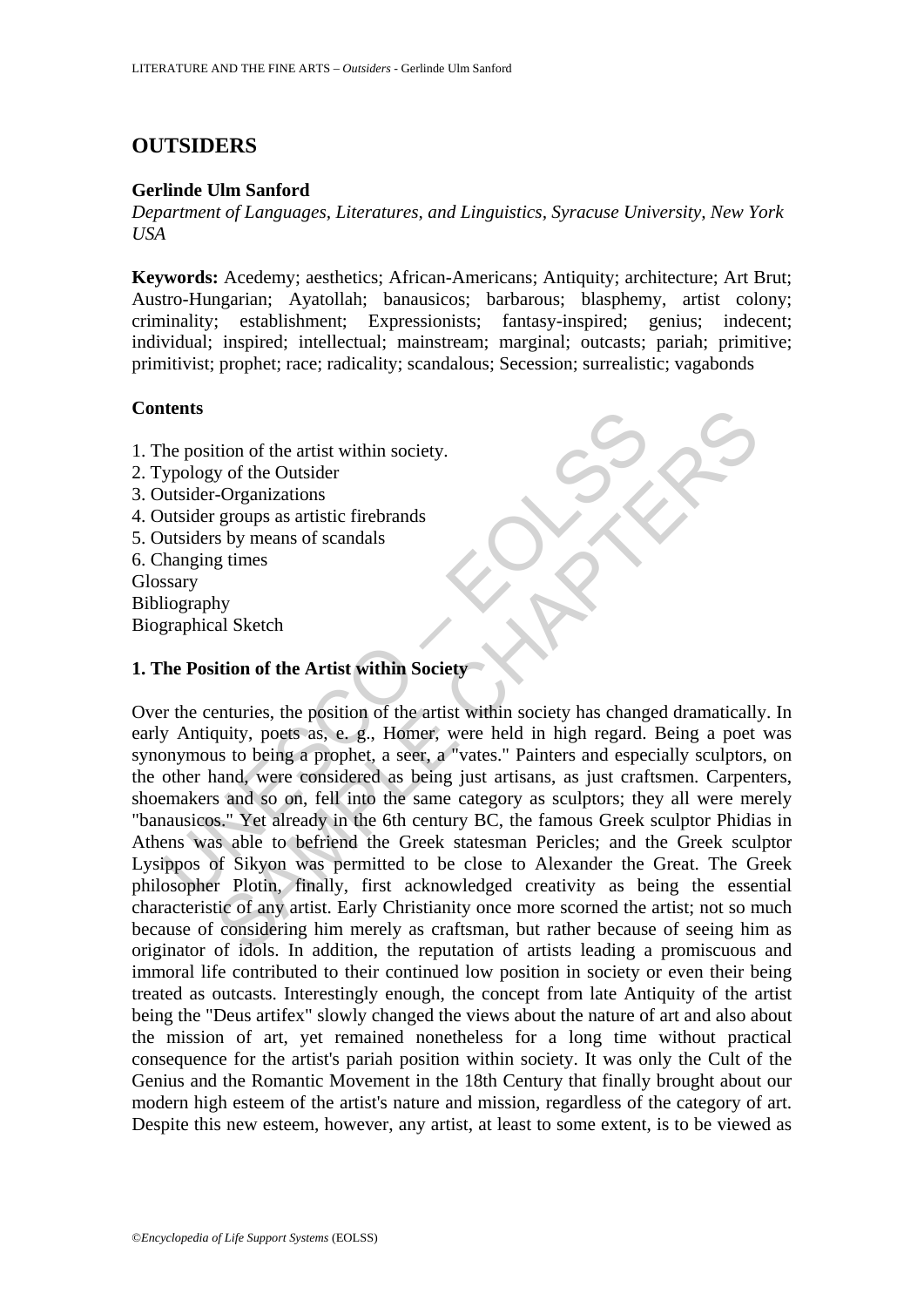# **OUTSIDERS**

## **Gerlinde Ulm Sanford**

*Department of Languages, Literatures, and Linguistics, Syracuse University, New York USA*

**Keywords:** Acedemy; aesthetics; African-Americans; Antiquity; architecture; Art Brut; Austro-Hungarian; Ayatollah; banausicos; barbarous; blasphemy, artist colony; criminality; establishment; Expressionists; fantasy-inspired; genius; indecent; individual; inspired; intellectual; mainstream; marginal; outcasts; pariah; primitive; primitivist; prophet; race; radicality; scandalous; Secession; surrealistic; vagabonds

# **Contents**

- 1. The position of the artist within society.
- 2. Typology of the Outsider
- 3. Outsider-Organizations
- 4. Outsider groups as artistic firebrands
- 5. Outsiders by means of scandals
- 6. Changing times Glossary

Bibliography

Biographical Sketch

# **1. The Position of the Artist within Society**

The position of the artist within society.<br>
Sypology of the Outsider<br>
Sypology of the Outsider<br>
Unstider-Organizations<br>
Unstider groups as artistic firebrands<br>
Unstainer groups as artistic firebrands<br>
Hanging times<br>
Swary<br> The state of the artist within society.<br>
Second and the Outsider<br>
Serony as a artistic firebrands<br>
s by means of scandals<br>
s by means of scandals<br>
s by means of scandals<br>
g times<br>
hy<br>
hal Sketch<br>
ition of the Artist within Over the centuries, the position of the artist within society has changed dramatically. In early Antiquity, poets as, e. g., Homer, were held in high regard. Being a poet was synonymous to being a prophet, a seer, a "vates." Painters and especially sculptors, on the other hand, were considered as being just artisans, as just craftsmen. Carpenters, shoemakers and so on, fell into the same category as sculptors; they all were merely "banausicos." Yet already in the 6th century BC, the famous Greek sculptor Phidias in Athens was able to befriend the Greek statesman Pericles; and the Greek sculptor Lysippos of Sikyon was permitted to be close to Alexander the Great. The Greek philosopher Plotin, finally, first acknowledged creativity as being the essential characteristic of any artist. Early Christianity once more scorned the artist; not so much because of considering him merely as craftsman, but rather because of seeing him as originator of idols. In addition, the reputation of artists leading a promiscuous and immoral life contributed to their continued low position in society or even their being treated as outcasts. Interestingly enough, the concept from late Antiquity of the artist being the "Deus artifex" slowly changed the views about the nature of art and also about the mission of art, yet remained nonetheless for a long time without practical consequence for the artist's pariah position within society. It was only the Cult of the Genius and the Romantic Movement in the 18th Century that finally brought about our modern high esteem of the artist's nature and mission, regardless of the category of art. Despite this new esteem, however, any artist, at least to some extent, is to be viewed as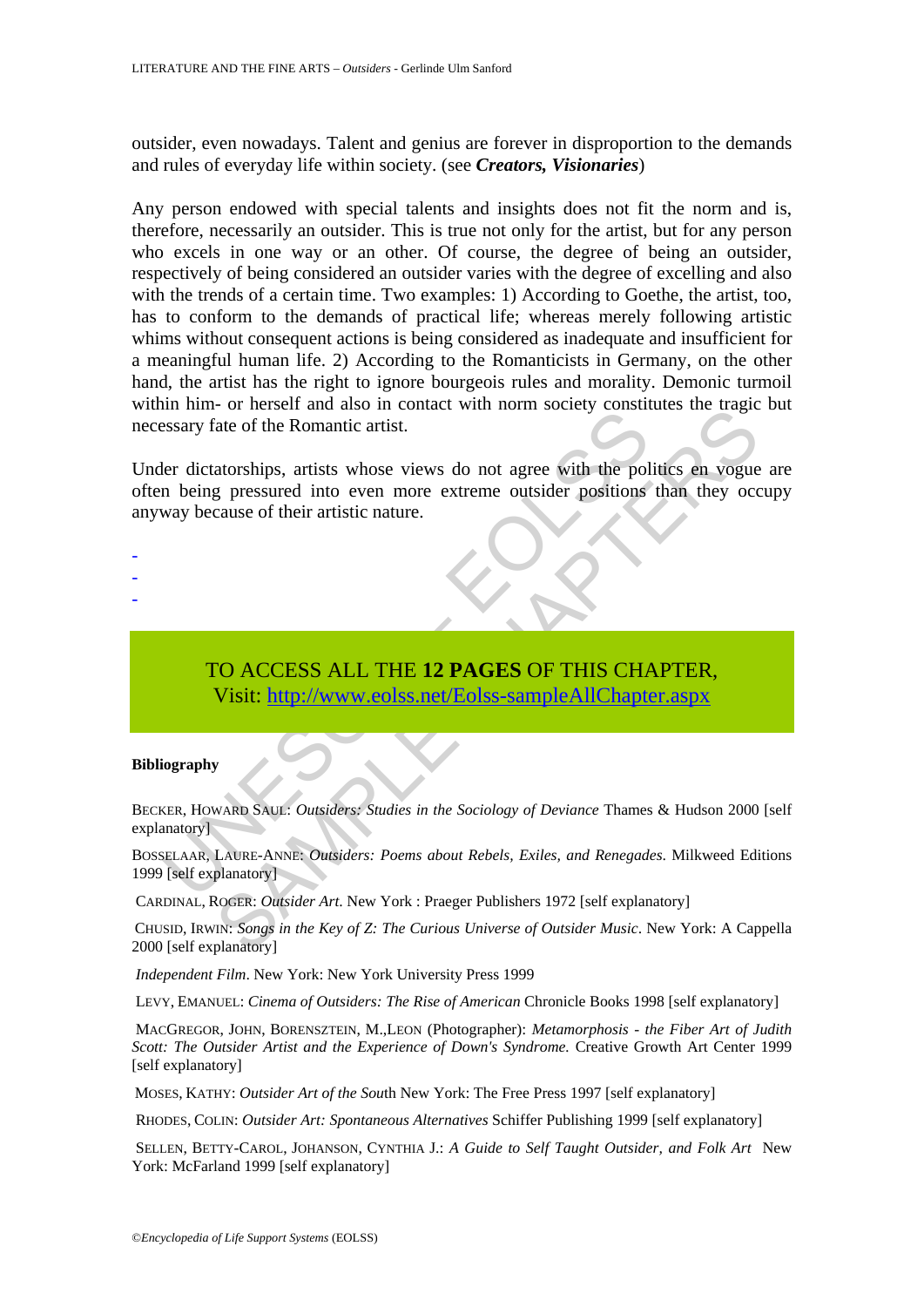outsider, even nowadays. Talent and genius are forever in disproportion to the demands and rules of everyday life within society. (see *Creators, Visionaries*)

Any person endowed with special talents and insights does not fit the norm and is, therefore, necessarily an outsider. This is true not only for the artist, but for any person who excels in one way or an other. Of course, the degree of being an outsider, respectively of being considered an outsider varies with the degree of excelling and also with the trends of a certain time. Two examples: 1) According to Goethe, the artist, too, has to conform to the demands of practical life; whereas merely following artistic whims without consequent actions is being considered as inadequate and insufficient for a meaningful human life. 2) According to the Romanticists in Germany, on the other hand, the artist has the right to ignore bourgeois rules and morality. Demonic turmoil within him- or herself and also in contact with norm society constitutes the tragic but necessary fate of the Romantic artist.

ELAAR, LAURE-ANNE: Outsiders: Studies in the Sociology of Deviance Thamsen (SELAAR, LAURE-ANNE: Outsiders: Poems about Rebels, Exiles, and Renegadal Self explanatory) To find and assouring the Key of *Z*: The Curious Universe of Outsider Music. New York: A Captional District Chapter Chapter and according pressured into even more extreme outsider positions than they occurred into even mo Under dictatorships, artists whose views do not agree with the politics en vogue are often being pressured into even more extreme outsider positions than they occupy anyway because of their artistic nature.

### -

- -
- -

# TO ACCESS ALL THE **12 PAGES** OF THIS CHAPTER, Visit: http://www.eolss.net/Eolss-sampleAllChapter.aspx

### **Bibliography**

BECKER, HOWARD SAUL: *Outsiders: Studies in the Sociology of Deviance* Thames & Hudson 2000 [self explanatory]

BOSSELAAR, LAURE-ANNE: *Outsiders: Poems about Rebels, Exiles, and Renegades*. Milkweed Editions 1999 [self explanatory]

CARDINAL, ROGER: *Outsider Art*. New York : Praeger Publishers 1972 [self explanatory]

CHUSID, IRWIN: *Songs in the Key of Z: The Curious Universe of Outsider Music*. New York: A Cappella 2000 [self explanatory]

*Independent Film*. New York: New York University Press 1999

LEVY, EMANUEL: *Cinema of Outsiders: The Rise of American* Chronicle Books 1998 [self explanatory]

MACGREGOR, JOHN, BORENSZTEIN, M.,LEON (Photographer): *Metamorphosis - the Fiber Art of Judith Scott: The Outsider Artist and the Experience of Down's Syndrome.* Creative Growth Art Center 1999 [self explanatory]

MOSES, KATHY: *Outsider Art of the Sou*th New York: The Free Press 1997 [self explanatory]

RHODES, COLIN: *Outsider Art: Spontaneous Alternatives* Schiffer Publishing 1999 [self explanatory]

 SELLEN, BETTY-CAROL, JOHANSON, CYNTHIA J.: *A Guide to Self Taught Outsider, and Folk Art* New York: McFarland 1999 [self explanatory]